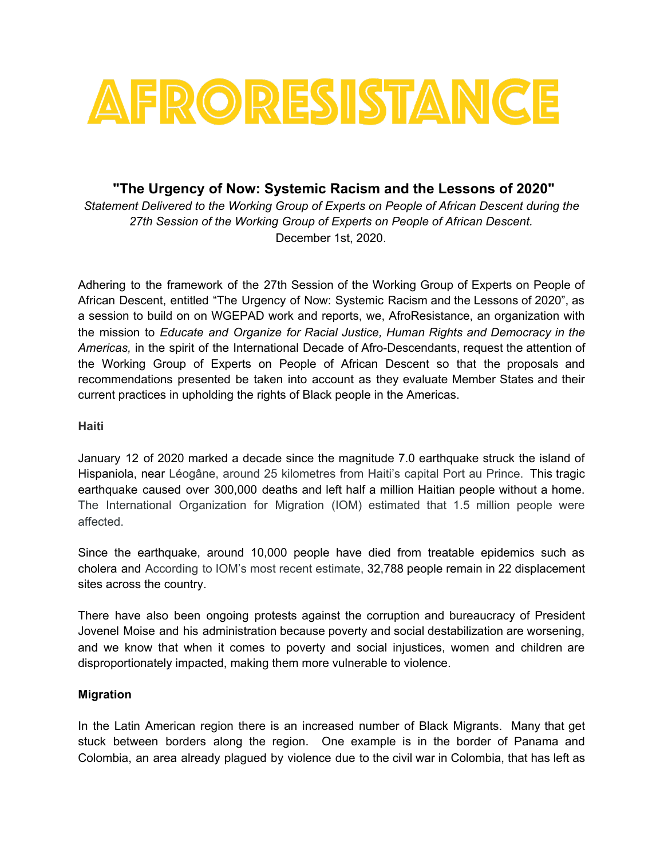

## **"The Urgency of Now: Systemic Racism and the Lessons of 2020"**

*Statement Delivered to the Working Group of Experts on People of African Descent during the 27th Session of the Working Group of Experts on People of African Descent.* December 1st, 2020.

Adhering to the framework of the 27th Session of the Working Group of Experts on People of African Descent, entitled "The Urgency of Now: Systemic Racism and the Lessons of 2020", as a session to build on on WGEPAD work and reports, we, AfroResistance, an organization with the mission to *Educate and Organize for Racial Justice, Human Rights and Democracy in the Americas,* in the spirit of the International Decade of Afro-Descendants, request the attention of the Working Group of Experts on People of African Descent so that the proposals and recommendations presented be taken into account as they evaluate Member States and their current practices in upholding the rights of Black people in the Americas.

#### **Haiti**

January 12 of 2020 marked a decade since the magnitude 7.0 earthquake struck the island of Hispaniola, near Léogâne, around 25 kilometres from Haiti's capital Port au Prince. This tragic earthquake caused over 300,000 deaths and left half a million Haitian people without a home. The International Organization for Migration (IOM) estimated that 1.5 million people were affected.

Since the earthquake, around 10,000 people have died from treatable epidemics such as cholera and According to IOM's most recent estimate, 32,788 people remain in 22 [displacement](https://pulitzercenter.org/reporting/ten-years-after-haitis-earthquake-decade-aftershocks-and-unkept-promises) [sites](https://pulitzercenter.org/reporting/ten-years-after-haitis-earthquake-decade-aftershocks-and-unkept-promises) across the country.

There have also been ongoing protests against the corruption and bureaucracy of President Jovenel Moise and his administration because poverty and social destabilization are worsening, and we know that when it comes to poverty and social injustices, women and children are disproportionately impacted, making them more vulnerable to violence.

#### **Migration**

In the Latin American region there is an increased number of Black Migrants. Many that get stuck between borders along the region. One example is in the border of Panama and Colombia, an area already plagued by violence due to the civil war in Colombia, that has left as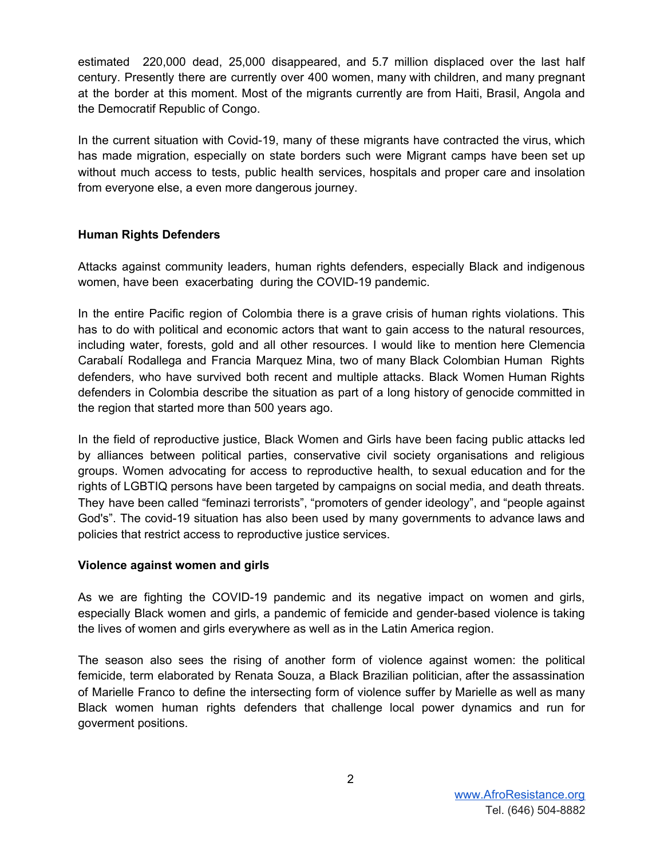estimated 220,000 dead, 25,000 disappeared, and 5.7 million displaced over the last half century. Presently there are currently over 400 women, many with children, and many pregnant at the border at this moment. Most of the migrants currently are from Haiti, Brasil, Angola and the Democratif Republic of Congo.

In the current situation with Covid-19, many of these migrants have contracted the virus, which has made migration, especially on state borders such were Migrant camps have been set up without much access to tests, public health services, hospitals and proper care and insolation from everyone else, a even more dangerous journey.

### **Human Rights Defenders**

Attacks against community leaders, human rights defenders, especially Black and indigenous women, have been exacerbating during the COVID-19 pandemic.

In the entire Pacific region of Colombia there is a grave crisis of human rights violations. This has to do with political and economic actors that want to gain access to the natural resources, including water, forests, gold and all other resources. I would like to mention here Clemencia Carabalí Rodallega and Francia Marquez Mina, two of many Black Colombian Human Rights defenders, who have survived both recent and multiple attacks. Black Women Human Rights defenders in Colombia describe the situation as part of a long history of genocide committed in the region that started more than 500 years ago.

In the field of reproductive justice, Black Women and Girls have been facing public attacks led by alliances between political parties, conservative civil society organisations and religious groups. Women advocating for access to reproductive health, to sexual education and for the rights of LGBTIQ persons have been targeted by campaigns on social media, and death threats. They have been called "feminazi terrorists", "promoters of gender ideology", and "people against God's". The covid-19 situation has also been used by many governments to advance laws and policies that restrict access to reproductive justice services.

#### **Violence against women and girls**

As we are fighting the COVID-19 pandemic and its negative impact on women and girls, especially Black women and girls, a pandemic of femicide and gender-based violence is taking the lives of women and girls everywhere as well as in the Latin America region.

The season also sees the rising of another form of violence against women: the political femicide, term elaborated by Renata Souza, a Black Brazilian politician, after the assassination of Marielle Franco to define the intersecting form of violence suffer by Marielle as well as many Black women human rights defenders that challenge local power dynamics and run for goverment positions.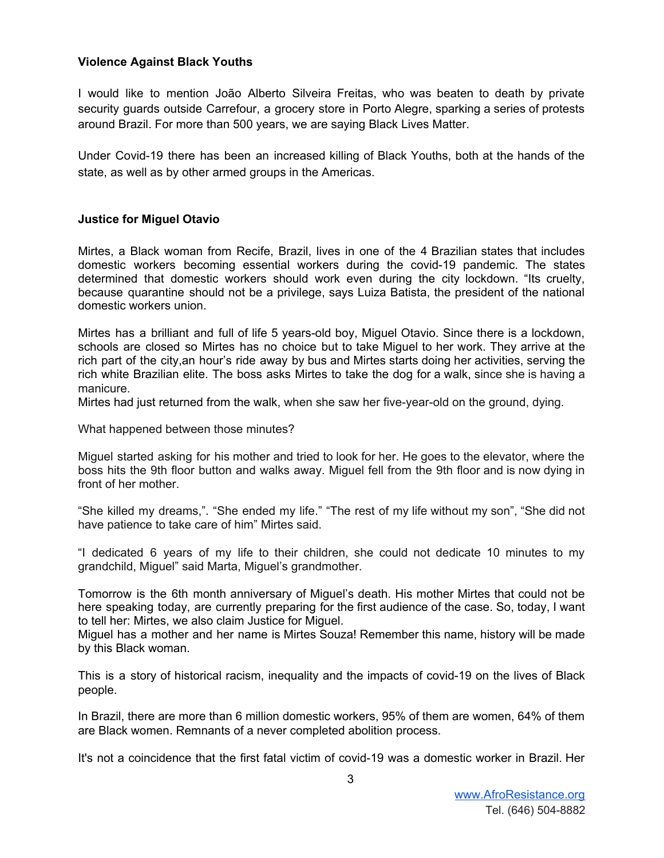#### **Violence Against Black Youths**

I would like to mention João Alberto Silveira Freitas, who was beaten to death by private security guards outside Carrefour, a grocery store in Porto Alegre, sparking a series of protests around Brazil. For more than 500 years, we are saying Black Lives Matter.

Under Covid-19 there has been an increased killing of Black Youths, both at the hands of the state, as well as by other armed groups in the Americas.

#### **Justice for Miguel Otavio**

Mirtes, a Black woman from Recife, Brazil, lives in one of the 4 Brazilian states that includes domestic workers becoming essential workers during the covid-19 pandemic. The states determined that domestic workers should work even during the city lockdown. "Its cruelty, because quarantine should not be a privilege, says Luiza Batista, the president of the national domestic workers union.

Mirtes has a brilliant and full of life 5 years-old boy, Miguel Otavio. Since there is a lockdown, schools are closed so Mirtes has no choice but to take Miguel to her work. They arrive at the rich part of the city,an hour's ride away by bus and Mirtes starts doing her activities, serving the rich white Brazilian elite. The boss asks Mirtes to take the dog for a walk, since she is having a manicure.

Mirtes had just returned from the walk, when she saw her five-year-old on the ground, dying.

What happened between those minutes?

Miguel started asking for his mother and tried to look for her. He goes to the elevator, where the boss hits the 9th floor button and walks away. Miguel fell from the 9th floor and is now dying in front of her mother.

"She killed my dreams,". "She ended my life." "The rest of my life without my son", "She did not have patience to take care of him" Mirtes said.

"I dedicated 6 years of my life to their children, she could not dedicate 10 minutes to my grandchild, Miguel" said Marta, Miguel's grandmother.

Tomorrow is the 6th month anniversary of Miguel's death. His mother Mirtes that could not be here speaking today, are currently preparing for the first audience of the case. So, today, I want to tell her: Mirtes, we also claim Justice for Miguel.

Miguel has a mother and her name is Mirtes Souza! Remember this name, history will be made by this Black woman.

This is a story of historical racism, inequality and the impacts of covid-19 on the lives of Black people.

In Brazil, there are more than 6 million domestic workers, 95% of them are women, 64% of them are Black women. Remnants of a never completed abolition process.

It's not a coincidence that the first fatal victim of covid-19 was a domestic worker in Brazil. Her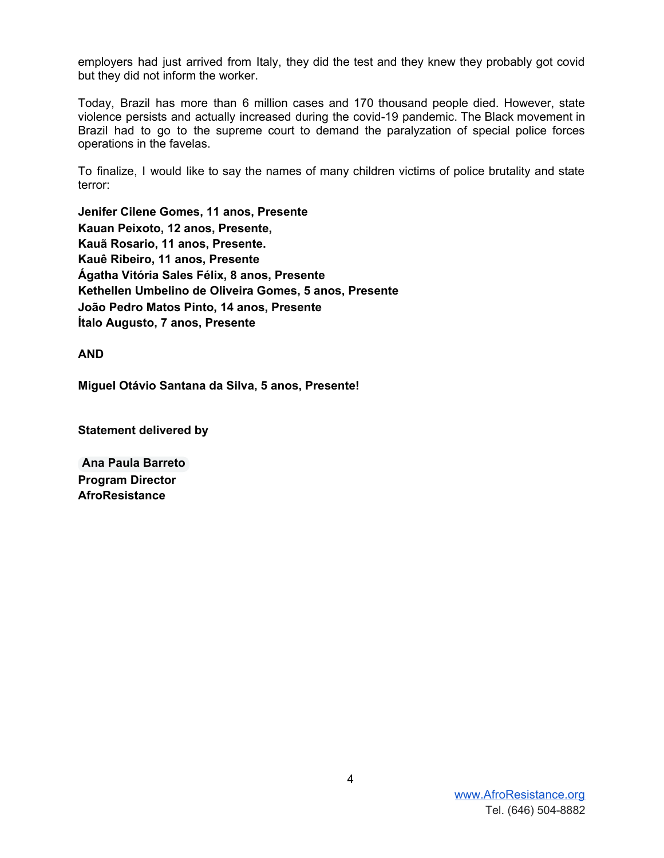employers had just arrived from Italy, they did the test and they knew they probably got covid but they did not inform the worker.

Today, Brazil has more than 6 million cases and 170 thousand people died. However, state violence persists and actually increased during the covid-19 pandemic. The Black movement in Brazil had to go to the supreme court to demand the paralyzation of special police forces operations in the favelas.

To finalize, I would like to say the names of many children victims of police brutality and state terror:

**Jenifer Cilene Gomes, 11 anos, Presente Kauan Peixoto, 12 anos, Presente, Kauã Rosario, 11 anos, Presente. Kauê Ribeiro, 11 anos, Presente Ágatha Vitória Sales Félix, 8 anos, Presente Kethellen Umbelino de Oliveira Gomes, 5 anos, Presente João Pedro Matos Pinto, 14 anos, Presente Ítalo Augusto, 7 anos, Presente**

**AND**

**Miguel Otávio Santana da Silva, 5 anos, Presente!**

**Statement delivered by**

**Ana Paula Barreto Program Director AfroResistance**